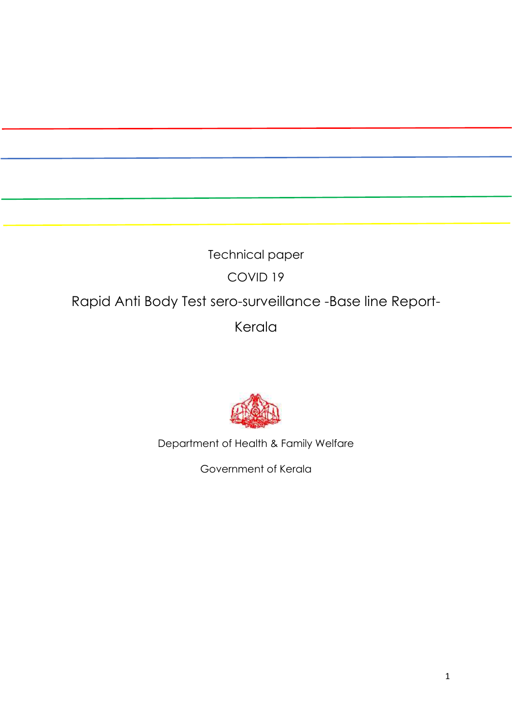# Technical paper COVID 19 Rapid Anti Body Test sero-surveillance -Base line Report-Kerala



Department of Health & Family Welfare

Government of Kerala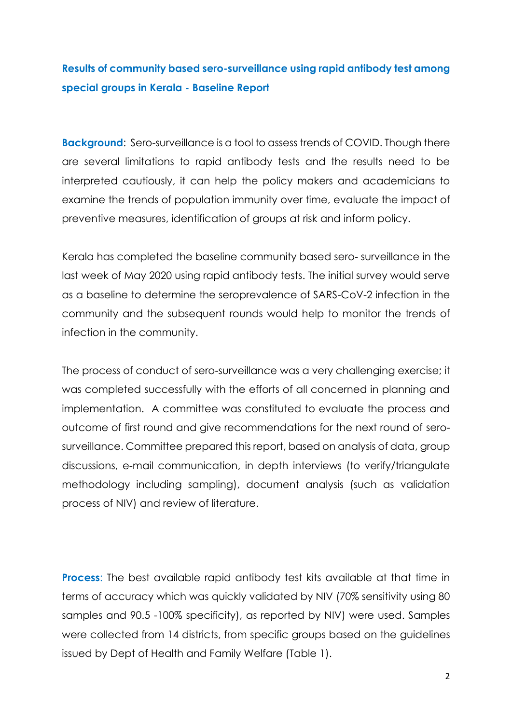## **Results of community based sero-surveillance using rapid antibody test among special groups in Kerala - Baseline Report**

**Background:** Sero-surveillance is a tool to assess trends of COVID. Though there are several limitations to rapid antibody tests and the results need to be interpreted cautiously, it can help the policy makers and academicians to examine the trends of population immunity over time, evaluate the impact of preventive measures, identification of groups at risk and inform policy.

Kerala has completed the baseline community based sero- surveillance in the last week of May 2020 using rapid antibody tests. The initial survey would serve as a baseline to determine the seroprevalence of SARS-CoV-2 infection in the community and the subsequent rounds would help to monitor the trends of infection in the community.

The process of conduct of sero-surveillance was a very challenging exercise; it was completed successfully with the efforts of all concerned in planning and implementation. A committee was constituted to evaluate the process and outcome of first round and give recommendations for the next round of serosurveillance. Committee prepared this report, based on analysis of data, group discussions, e-mail communication, in depth interviews (to verify/triangulate methodology including sampling), document analysis (such as validation process of NIV) and review of literature.

**Process**: The best available rapid antibody test kits available at that time in terms of accuracy which was quickly validated by NIV (70% sensitivity using 80 samples and 90.5 -100% specificity), as reported by NIV) were used. Samples were collected from 14 districts, from specific groups based on the guidelines issued by Dept of Health and Family Welfare (Table 1).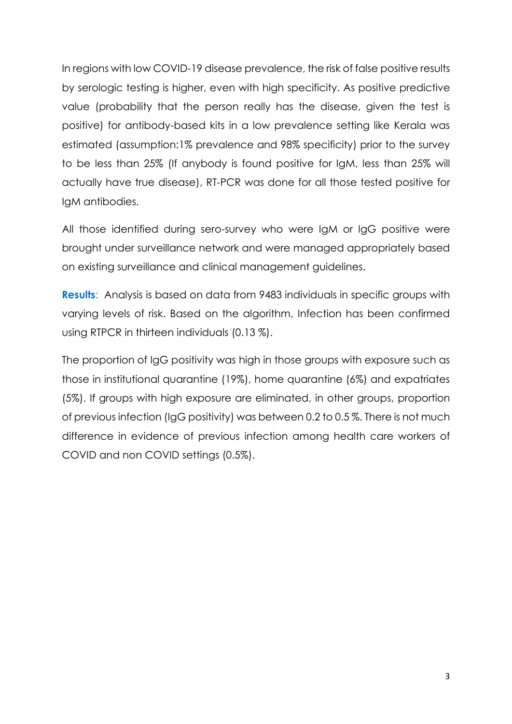In regions with low COVID-19 disease prevalence, the risk of false positive results by serologic testing is higher, even with high specificity. As positive predictive value (probability that the person really has the disease, given the test is positive) for antibody-based kits in a low prevalence setting like Kerala was estimated (assumption:1% prevalence and 98% specificity) prior to the survey to be less than 25% (If anybody is found positive for IgM, less than 25% will actually have true disease), RT-PCR was done for all those tested positive for IgM antibodies.

All those identified during sero-survey who were IgM or IgG positive were brought under surveillance network and were managed appropriately based on existing surveillance and clinical management guidelines.

**Results**: Analysis is based on data from 9483 individuals in specific groups with varying levels of risk. Based on the algorithm, Infection has been confirmed using RTPCR in thirteen individuals (0.13 %).

The proportion of IgG positivity was high in those groups with exposure such as those in institutional quarantine (19%), home quarantine (6%) and expatriates (5%). If groups with high exposure are eliminated, in other groups, proportion of previous infection (IgG positivity) was between 0.2 to 0.5 %. There is not much difference in evidence of previous infection among health care workers of COVID and non COVID settings (0.5%).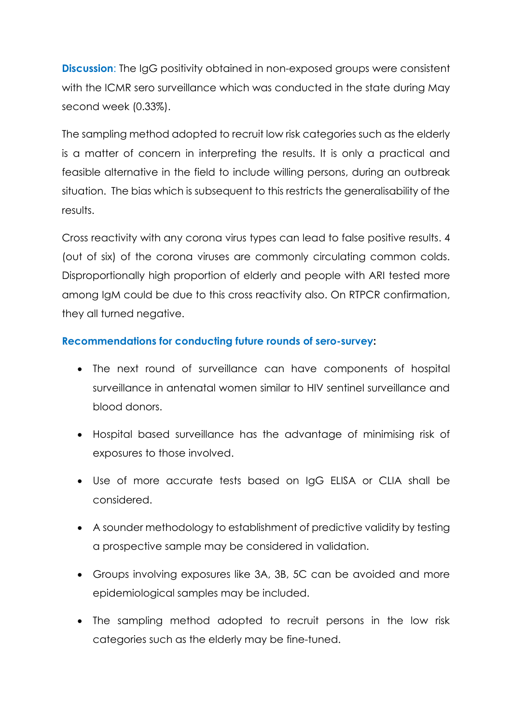**Discussion:** The IgG positivity obtained in non-exposed groups were consistent with the ICMR sero surveillance which was conducted in the state during May second week (0.33%).

The sampling method adopted to recruit low risk categories such as the elderly is a matter of concern in interpreting the results. It is only a practical and feasible alternative in the field to include willing persons, during an outbreak situation. The bias which is subsequent to this restricts the generalisability of the results.

Cross reactivity with any corona virus types can lead to false positive results. 4 (out of six) of the corona viruses are commonly circulating common colds. Disproportionally high proportion of elderly and people with ARI tested more among IgM could be due to this cross reactivity also. On RTPCR confirmation, they all turned negative.

#### **Recommendations for conducting future rounds of sero-survey:**

- The next round of surveillance can have components of hospital surveillance in antenatal women similar to HIV sentinel surveillance and blood donors.
- Hospital based surveillance has the advantage of minimising risk of exposures to those involved.
- Use of more accurate tests based on IgG ELISA or CLIA shall be considered.
- A sounder methodology to establishment of predictive validity by testing a prospective sample may be considered in validation.
- Groups involving exposures like 3A, 3B, 5C can be avoided and more epidemiological samples may be included.
- The sampling method adopted to recruit persons in the low risk categories such as the elderly may be fine-tuned.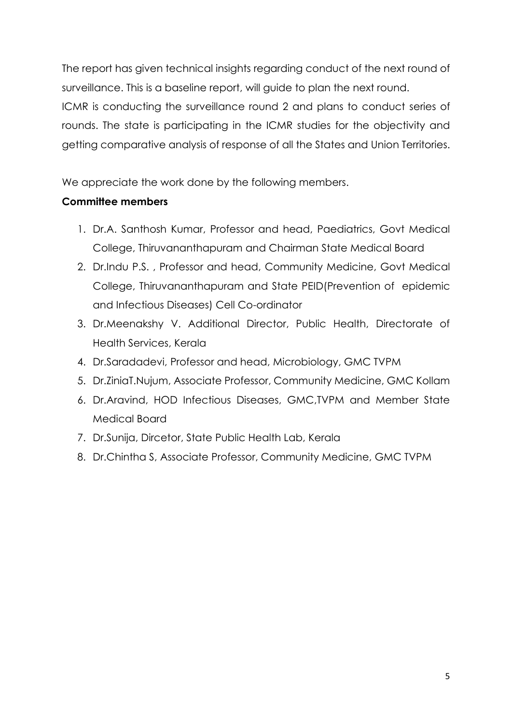The report has given technical insights regarding conduct of the next round of surveillance. This is a baseline report, will guide to plan the next round. ICMR is conducting the surveillance round 2 and plans to conduct series of rounds. The state is participating in the ICMR studies for the objectivity and getting comparative analysis of response of all the States and Union Territories.

We appreciate the work done by the following members.

#### **Committee members**

- 1. Dr.A. Santhosh Kumar, Professor and head, Paediatrics, Govt Medical College, Thiruvananthapuram and Chairman State Medical Board
- 2. Dr.Indu P.S. , Professor and head, Community Medicine, Govt Medical College, Thiruvananthapuram and State PEID(Prevention of epidemic and Infectious Diseases) Cell Co-ordinator
- 3. Dr.Meenakshy V. Additional Director, Public Health, Directorate of Health Services, Kerala
- 4. Dr.Saradadevi, Professor and head, Microbiology, GMC TVPM
- 5. Dr.ZiniaT.Nujum, Associate Professor, Community Medicine, GMC Kollam
- 6. Dr.Aravind, HOD Infectious Diseases, GMC,TVPM and Member State Medical Board
- 7. Dr.Sunija, Dircetor, State Public Health Lab, Kerala
- 8. Dr.Chintha S, Associate Professor, Community Medicine, GMC TVPM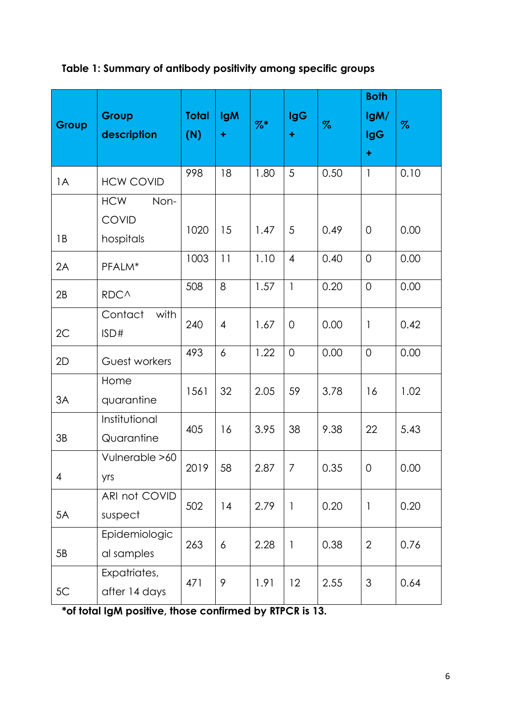### **Table 1: Summary of antibody positivity among specific groups**

| Group | Group<br>description                            | <b>Total</b><br>(N) | <b>IgM</b><br>÷ | $%$ * | <b>IgG</b><br>÷          | $\%$ | <b>Both</b><br>lgM/<br><b>IgG</b><br>$\ddot{}$ | $\%$ |
|-------|-------------------------------------------------|---------------------|-----------------|-------|--------------------------|------|------------------------------------------------|------|
| 1A    | <b>HCW COVID</b>                                | 998                 | 18              | 1.80  | 5                        | 0.50 | $\mathbf{1}$                                   | 0.10 |
| 1B    | <b>HCW</b><br>Non-<br><b>COVID</b><br>hospitals | 1020                | 15              | 1.47  | 5                        | 0.49 | $\overline{0}$                                 | 0.00 |
| 2A    | PFALM*                                          | 1003                | 11              | 1.10  | $\overline{4}$           | 0.40 | $\overline{0}$                                 | 0.00 |
| 2B    | RDC^                                            | 508                 | 8               | 1.57  | $\mathbf{1}$             | 0.20 | $\overline{0}$                                 | 0.00 |
| 2C    | with<br>Contact<br>ISD#                         | 240                 | $\overline{4}$  | 1.67  | 0                        | 0.00 | $\overline{\phantom{a}}$                       | 0.42 |
| 2D    | Guest workers                                   | 493                 | 6               | 1.22  | $\overline{0}$           | 0.00 | $\overline{0}$                                 | 0.00 |
| 3A    | Home<br>quarantine                              | 1561                | 32              | 2.05  | 59                       | 3.78 | 16                                             | 1.02 |
| 3B    | Institutional<br>Quarantine                     | 405                 | 16              | 3.95  | 38                       | 9.38 | 22                                             | 5.43 |
| 4     | Vulnerable >60<br>yrs                           | 2019                | 58              | 2.87  | 7                        | 0.35 | $\mathbf 0$                                    | 0.00 |
| 5A    | ARI not COVID<br>suspect                        | 502                 | 14              | 2.79  | $\overline{\phantom{a}}$ | 0.20 | $\mathbf{1}$                                   | 0.20 |
| 5B    | Epidemiologic<br>al samples                     | 263                 | 6               | 2.28  | $\mathbf{1}$             | 0.38 | $\overline{2}$                                 | 0.76 |
| 5C    | Expatriates,<br>after 14 days                   | 471                 | 9               | 1.91  | 12                       | 2.55 | 3                                              | 0.64 |

**\*of total IgM positive, those confirmed by RTPCR is 13.**